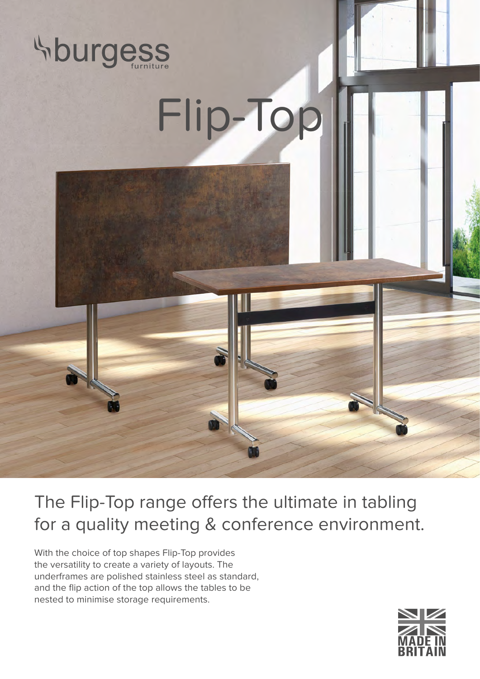





The Flip-Top range offers the ultimate in tabling for a quality meeting & conference environment.

With the choice of top shapes Flip-Top provides the versatility to create a variety of layouts. The underframes are polished stainless steel as standard, and the flip action of the top allows the tables to be nested to minimise storage requirements.